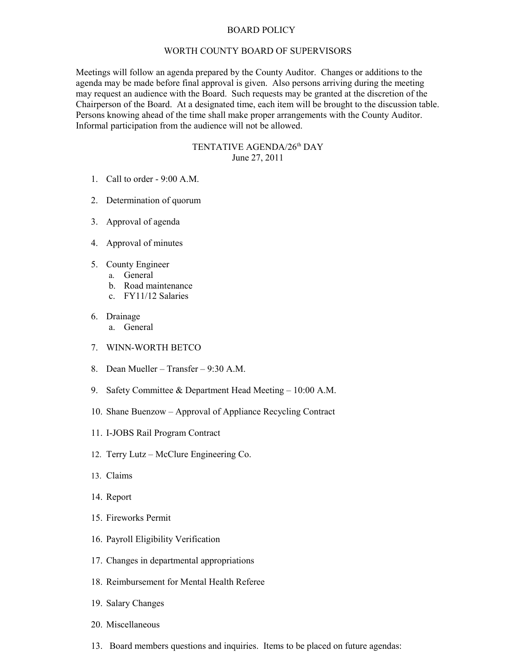## BOARD POLICY

## WORTH COUNTY BOARD OF SUPERVISORS

Meetings will follow an agenda prepared by the County Auditor. Changes or additions to the agenda may be made before final approval is given. Also persons arriving during the meeting may request an audience with the Board. Such requests may be granted at the discretion of the Chairperson of the Board. At a designated time, each item will be brought to the discussion table. Persons knowing ahead of the time shall make proper arrangements with the County Auditor. Informal participation from the audience will not be allowed.

## TENTATIVE AGENDA/26<sup>th</sup> DAY June 27, 2011

- 1. Call to order 9:00 A.M.
- 2. Determination of quorum
- 3. Approval of agenda
- 4. Approval of minutes
- 5. County Engineer
	- a. General
	- b. Road maintenance
	- c. FY11/12 Salaries
- 6. Drainage
	- a. General
- 7. WINN-WORTH BETCO
- 8. Dean Mueller Transfer 9:30 A.M.
- 9. Safety Committee & Department Head Meeting 10:00 A.M.
- 10. Shane Buenzow Approval of Appliance Recycling Contract
- 11. I-JOBS Rail Program Contract
- 12. Terry Lutz McClure Engineering Co.
- 13. Claims
- 14. Report
- 15. Fireworks Permit
- 16. Payroll Eligibility Verification
- 17. Changes in departmental appropriations
- 18. Reimbursement for Mental Health Referee
- 19. Salary Changes
- 20. Miscellaneous
- 13. Board members questions and inquiries. Items to be placed on future agendas: